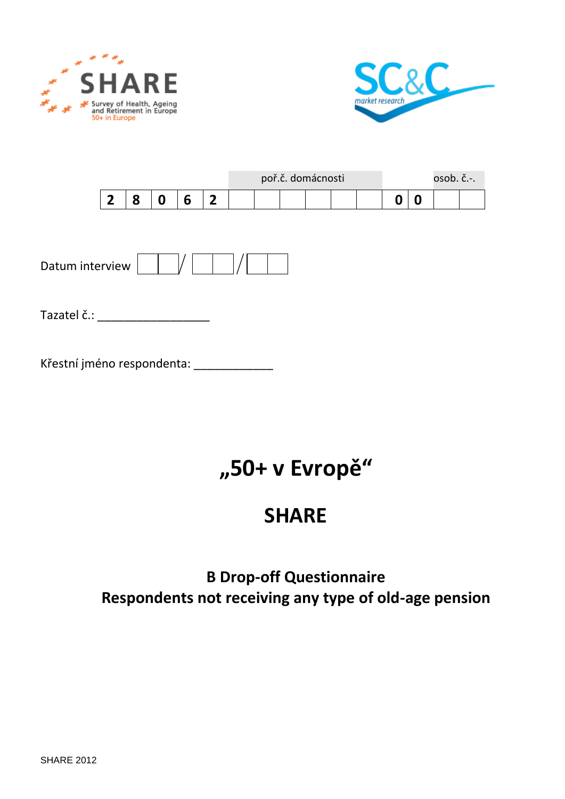



|  |  |  |  | poř.č. domácnosti |  |  | $osob. c.-.$ |  |
|--|--|--|--|-------------------|--|--|--------------|--|
|  |  |  |  |                   |  |  |              |  |

| Datum interview |  |
|-----------------|--|
|-----------------|--|

Tazatel č.: \_\_\_\_\_\_\_\_\_\_\_\_\_\_\_\_\_\_\_\_\_\_\_

Křestní jméno respondenta: \_\_\_\_\_\_\_\_\_\_\_\_\_\_

# **"50+ v Evropě"**

## **SHARE**

## **B Drop-off Questionnaire Respondents not receiving any type of old-age pension**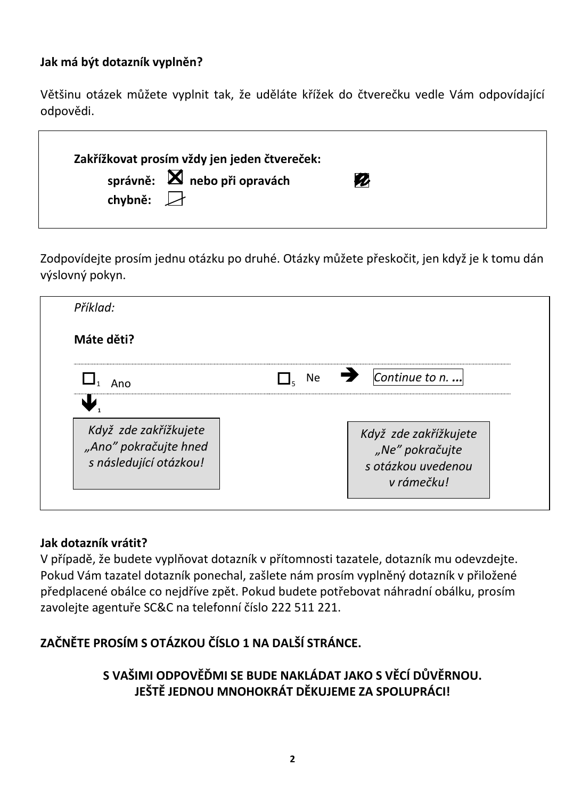## **Jak má být dotazník vyplněn?**

Většinu otázek můžete vyplnit tak, že uděláte křížek do čtverečku vedle Vám odpovídající odpovědi.

| Z |  |
|---|--|
|   |  |

Zodpovídejte prosím jednu otázku po druhé. Otázky můžete přeskočit, jen když je k tomu dán výslovný pokyn.

| Příklad:                                                                                 |           |                                                                              |
|------------------------------------------------------------------------------------------|-----------|------------------------------------------------------------------------------|
| Máte děti?                                                                               |           |                                                                              |
| Ano                                                                                      | <b>Ne</b> | Continue to n.                                                               |
| $\mathbf{L}$<br>Když zde zakřížkujete<br>"Ano" pokračujte hned<br>s následující otázkou! |           | Když zde zakřížkujete<br>"Ne" pokračujte<br>s otázkou uvedenou<br>v rámečku! |

### **Jak dotazník vrátit?**

V případě, že budete vyplňovat dotazník v přítomnosti tazatele, dotazník mu odevzdejte. Pokud Vám tazatel dotazník ponechal, zašlete nám prosím vyplněný dotazník v přiložené předplacené obálce co nejdříve zpět. Pokud budete potřebovat náhradní obálku, prosím zavolejte agentuře SC&C na telefonní číslo 222 511 221.

## **ZAČNĚTE PROSÍM S OTÁZKOU ČÍSLO 1 NA DALŠÍ STRÁNCE.**

## **S VAŠIMI ODPOVĚĎMI SE BUDE NAKLÁDAT JAKO S VĚCÍ DŮVĚRNOU. JEŠTĚ JEDNOU MNOHOKRÁT DĚKUJEME ZA SPOLUPRÁCI!**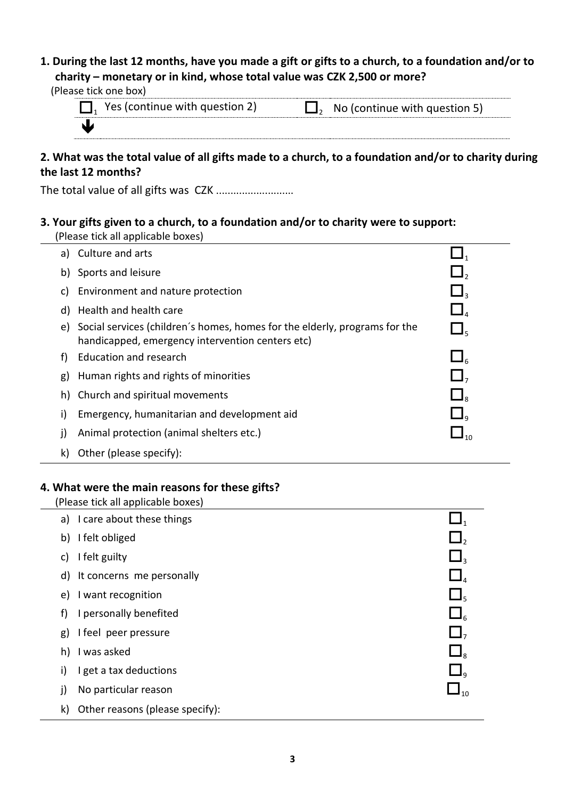#### **1. During the last 12 months, have you made a gift or gifts to a church, to a foundation and/or to charity – monetary or in kind, whose total value was CZK 2,500 or more?**

| (Please tick one box) |                                         |                                        |
|-----------------------|-----------------------------------------|----------------------------------------|
|                       | $\Box$ , Yes (continue with question 2) | $\Box$ , No (continue with question 5) |
|                       |                                         |                                        |

#### **2. What was the total value of all gifts made to a church, to a foundation and/or to charity during the last 12 months?**

The total value of all gifts was CZK ...........................

#### **3. Your gifts given to a church, to a foundation and/or to charity were to support:**

|  | (Please tick all applicable boxes) |
|--|------------------------------------|
|--|------------------------------------|

| a) | Culture and arts                                                                                                               |                                   |
|----|--------------------------------------------------------------------------------------------------------------------------------|-----------------------------------|
| b) | Sports and leisure                                                                                                             | $\Box$ ,                          |
| C) | Environment and nature protection                                                                                              | $\mathbf{\mathsf{L}}$             |
| d) | Health and health care                                                                                                         | $\Box$ <sub>4</sub>               |
| e) | Social services (children's homes, homes for the elderly, programs for the<br>handicapped, emergency intervention centers etc) | $\Box$                            |
| f) | Education and research                                                                                                         | $\Box$                            |
| g) | Human rights and rights of minorities                                                                                          | $\Box$ ,                          |
| h) | Church and spiritual movements                                                                                                 | $\Box$                            |
| i) | Emergency, humanitarian and development aid                                                                                    | $\mathsf{L}\mathsf{I}_\mathsf{a}$ |
| j) | Animal protection (animal shelters etc.)                                                                                       | $\Box_{10}$                       |
| k) | Other (please specify):                                                                                                        |                                   |

#### **4. What were the main reasons for these gifts?**

|    | (Please tick all applicable boxes) |                 |
|----|------------------------------------|-----------------|
|    | a) I care about these things       |                 |
|    | b) I felt obliged                  | $\Box$ ,        |
| C) | I felt guilty                      | $\Box$          |
|    | d) It concerns me personally       | $\Box$          |
| e) | I want recognition                 | $\Box$          |
| f) | I personally benefited             | $\Box_{\kappa}$ |
| g) | I feel peer pressure               | $\Box$ ,        |
| h) | I was asked                        | $\Box$          |
| i) | I get a tax deductions             | $\Box$          |
| j) | No particular reason               | $\Box_{10}$     |
| k) | Other reasons (please specify):    |                 |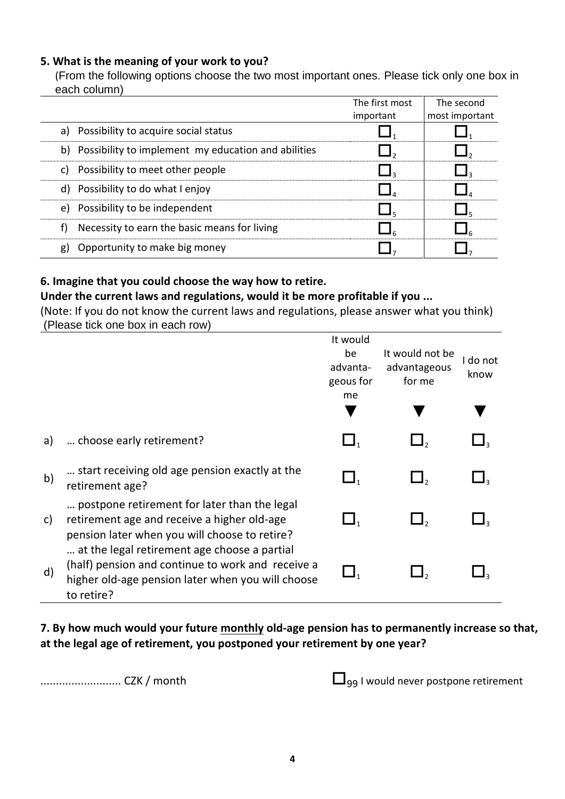#### **5. What is the meaning of your work to you?**

(From the following options choose the two most important ones. Please tick only one box in each column)

|                                                           | The first most | The second     |
|-----------------------------------------------------------|----------------|----------------|
|                                                           | important      | most important |
| a) Possibility to acquire social status                   |                |                |
| Possibility to implement my education and abilities<br>b) |                |                |
| Possibility to meet other people<br>C)                    |                |                |
| d) Possibility to do what I enjoy                         |                |                |
| Possibility to be independent<br>e)                       |                |                |
| Necessity to earn the basic means for living<br>f)        |                |                |
| Opportunity to make big money<br>g)                       |                |                |

#### **6. Imagine that you could choose the way how to retire.**

#### **Under the current laws and regulations, would it be more profitable if you ...**

(Note: If you do not know the current laws and regulations, please answer what you think) (Please tick one box in each row)

|              |                                                                                                                                                                      | It would<br>be<br>advanta-<br>geous for<br>me | It would not be<br>advantageous<br>for me | I do not<br>know |
|--------------|----------------------------------------------------------------------------------------------------------------------------------------------------------------------|-----------------------------------------------|-------------------------------------------|------------------|
|              |                                                                                                                                                                      |                                               |                                           |                  |
| a)           | choose early retirement?                                                                                                                                             | $\Box_1$                                      |                                           |                  |
| $\mathsf{b}$ | start receiving old age pension exactly at the<br>retirement age?                                                                                                    | $\Box$                                        |                                           |                  |
| C)           | postpone retirement for later than the legal<br>retirement age and receive a higher old-age<br>pension later when you will choose to retire?                         | $\Box$                                        | 丄,                                        |                  |
| $\mathsf{d}$ | at the legal retirement age choose a partial<br>(half) pension and continue to work and receive a<br>higher old-age pension later when you will choose<br>to retire? | $\Box_1$                                      |                                           |                  |

**7. By how much would your future monthly old-age pension has to permanently increase so that, at the legal age of retirement, you postponed your retirement by one year?**

.......................... CZK / month <sup>99</sup> I would never postpone retirement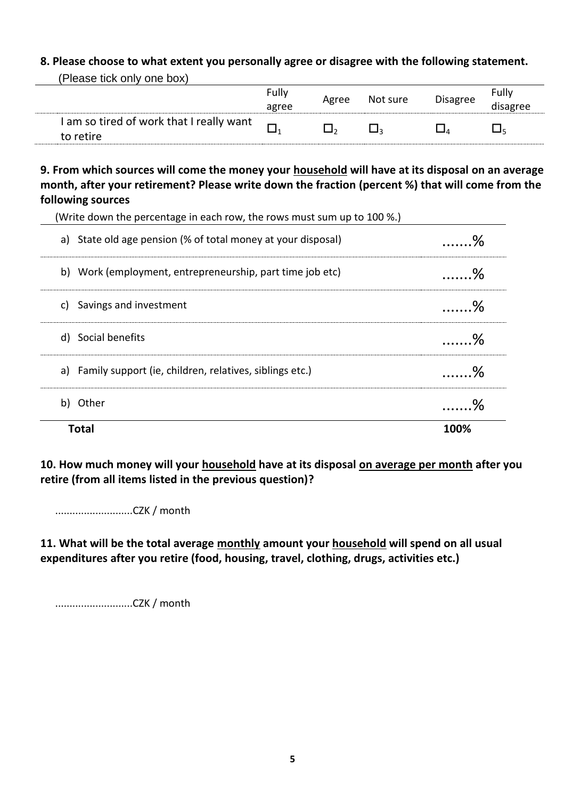#### **8. Please choose to what extent you personally agree or disagree with the following statement.**

| (Please tick only one box)                            |                |       |          |                 |                   |
|-------------------------------------------------------|----------------|-------|----------|-----------------|-------------------|
|                                                       | Fully<br>agree | Agree | Not sure | <b>Disagree</b> | Fully<br>disagree |
| I am so tired of work that I really want<br>to retire |                |       |          |                 |                   |

**9. From which sources will come the money your household will have at its disposal on an average month, after your retirement? Please write down the fraction (percent %) that will come from the following sources**

| <b>Total</b>                                                            | 100%     |
|-------------------------------------------------------------------------|----------|
| Other<br>b)                                                             | . %      |
| a) Family support (ie, children, relatives, siblings etc.)              | $\sim$ % |
| d) Social benefits                                                      | . %      |
| Savings and investment<br>C)                                            | . %      |
| b) Work (employment, entrepreneurship, part time job etc)               | . %      |
| a) State old age pension (% of total money at your disposal)            | . %      |
| (Write down the percentage in each row, the rows must sum up to 100 %.) |          |

**10. How much money will your household have at its disposal on average per month after you retire (from all items listed in the previous question)?**

...........................CZK / month

**11. What will be the total average monthly amount your household will spend on all usual expenditures after you retire (food, housing, travel, clothing, drugs, activities etc.)**

...........................CZK / month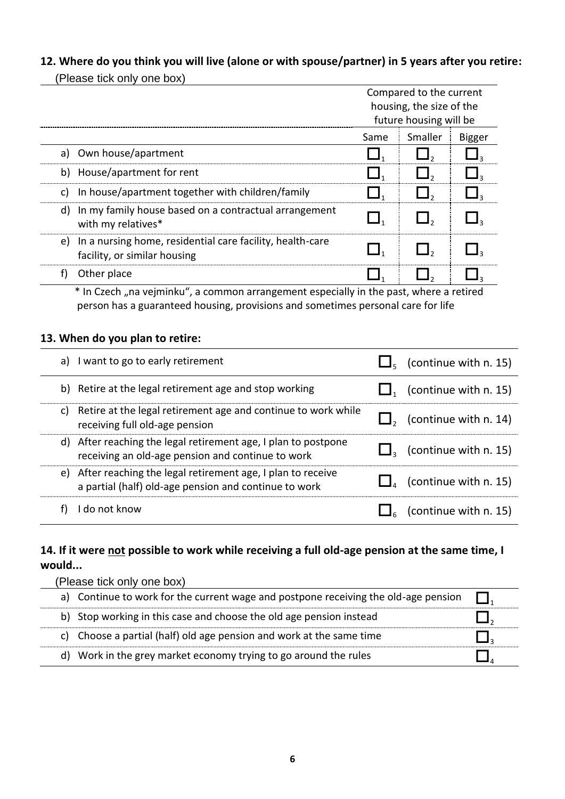#### **12. Where do you think you will live (alone or with spouse/partner) in 5 years after you retire:**

(Please tick only one box) Compared to the current housing, the size of the future housing will be Same Smaller Bigger a) Own house/apartment  $\Box_1$   $\Box_2$ b) House/apartment for rent  $\Box_1$   $\Box_2$ c) In house/apartment together with children/family  $\Box$   $\Box$   $\Box$ d) In my family house based on a contractual arrangement  $\Box_1$   $\Box_2$   $\Box_3$ <br>with my relatives\* e) In a nursing home, residential care facility, health-care  $\Box$   $\Box$   $\Box$   $\Box$   $\Box$   $\Box$   $\Box$ f) Other place  $\Box$ ,  $\Box$ ,  $\Box$ ,  $\Box$ ,  $\Box$ ,  $\Box$ 

\* In Czech "na vejminku", a common arrangement especially in the past, where a retired person has a guaranteed housing, provisions and sometimes personal care for life

#### **13. When do you plan to retire:**

| I want to go to early retirement<br>a)                                                                                 | (continue with n. 15) |
|------------------------------------------------------------------------------------------------------------------------|-----------------------|
| b) Retire at the legal retirement age and stop working                                                                 | (continue with n. 15) |
| Retire at the legal retirement age and continue to work while<br>C)<br>receiving full old-age pension                  | (continue with n. 14) |
| d) After reaching the legal retirement age, I plan to postpone<br>receiving an old-age pension and continue to work    | (continue with n. 15) |
| e) After reaching the legal retirement age, I plan to receive<br>a partial (half) old-age pension and continue to work | (continue with n. 15) |
| I do not know                                                                                                          | (continue with n. 15) |

#### **14. If it were not possible to work while receiving a full old-age pension at the same time, I would...**

| (Please tick only one box) |                                                                                     |  |
|----------------------------|-------------------------------------------------------------------------------------|--|
|                            | a) Continue to work for the current wage and postpone receiving the old-age pension |  |
|                            | b) Stop working in this case and choose the old age pension instead                 |  |
|                            | c) Choose a partial (half) old age pension and work at the same time                |  |
|                            | d) Work in the grey market economy trying to go around the rules                    |  |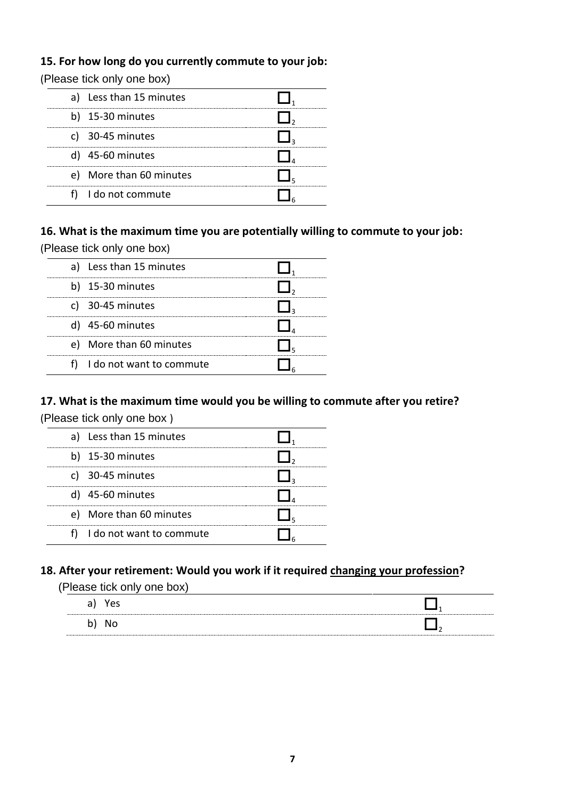#### **15. For how long do you currently commute to your job:**

(Please tick only one box)

| a) Less than 15 minutes |
|-------------------------|
| b) 15-30 minutes        |
| c) 30-45 minutes        |
| $)$ 45-60 minutes       |
| e) More than 60 minutes |
| I do not commute        |

#### **16. What is the maximum time you are potentially willing to commute to your job:** (Please tick only one box)

| roadd troit only only bony |  |
|----------------------------|--|
| Less than 15 minutes       |  |
| b) $15-30$ minutes         |  |
|                            |  |

| c) $30-45$ minutes          |  |
|-----------------------------|--|
| d) 45-60 minutes            |  |
| e) More than 60 minutes     |  |
| f) I do not want to commute |  |

#### **17. What is the maximum time would you be willing to commute after you retire?**

(Please tick only one box )

| a) Less than 15 minutes  |
|--------------------------|
| b) 15-30 minutes         |
| c) 30-45 minutes         |
| d) 45-60 minutes         |
| e) More than 60 minutes  |
| I do not want to commute |

### **18. After your retirement: Would you work if it required changing your profession?**

(Please tick only one box)

| Yes<br>a)<br>ີ |  |
|----------------|--|
| b)             |  |